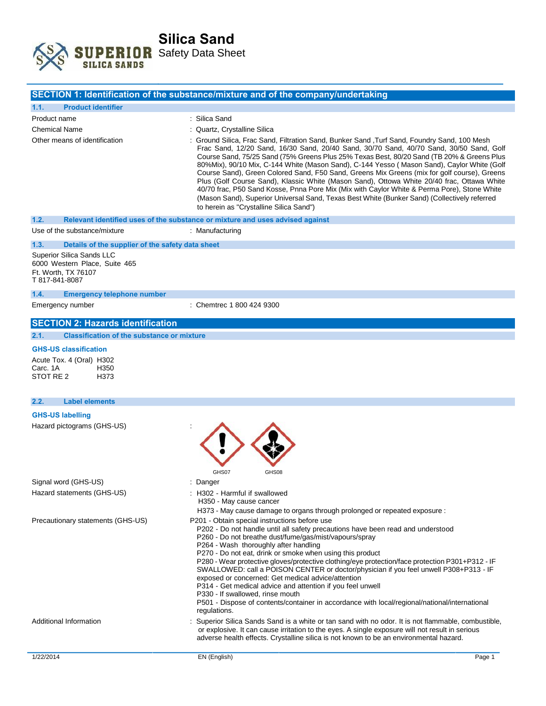

|                                                                                                     | SECTION 1: Identification of the substance/mixture and of the company/undertaking                                                                                                                                                                                                                                                                                                                                                                                                                                                                                                                                                                                                                                                                                                                                                                   |
|-----------------------------------------------------------------------------------------------------|-----------------------------------------------------------------------------------------------------------------------------------------------------------------------------------------------------------------------------------------------------------------------------------------------------------------------------------------------------------------------------------------------------------------------------------------------------------------------------------------------------------------------------------------------------------------------------------------------------------------------------------------------------------------------------------------------------------------------------------------------------------------------------------------------------------------------------------------------------|
| <b>Product identifier</b><br>1.1.                                                                   |                                                                                                                                                                                                                                                                                                                                                                                                                                                                                                                                                                                                                                                                                                                                                                                                                                                     |
| Product name                                                                                        | : Silica Sand                                                                                                                                                                                                                                                                                                                                                                                                                                                                                                                                                                                                                                                                                                                                                                                                                                       |
| Chemical Name                                                                                       | : Quartz, Crystalline Silica                                                                                                                                                                                                                                                                                                                                                                                                                                                                                                                                                                                                                                                                                                                                                                                                                        |
| Other means of identification                                                                       | : Ground Silica, Frac Sand, Filtration Sand, Bunker Sand ,Turf Sand, Foundry Sand, 100 Mesh<br>Frac Sand, 12/20 Sand, 16/30 Sand, 20/40 Sand, 30/70 Sand, 40/70 Sand, 30/50 Sand, Golf<br>Course Sand, 75/25 Sand (75% Greens Plus 25% Texas Best, 80/20 Sand (TB 20% & Greens Plus<br>80%Mix), 90/10 Mix, C-144 White (Mason Sand), C-144 Yesso (Mason Sand), Caylor White (Golf<br>Course Sand), Green Colored Sand, F50 Sand, Greens Mix Greens (mix for golf course), Greens<br>Plus (Golf Course Sand), Klassic White (Mason Sand), Ottowa White 20/40 frac, Ottawa White<br>40/70 frac, P50 Sand Kosse, Pnna Pore Mix (Mix with Caylor White & Perma Pore), Stone White<br>(Mason Sand), Superior Universal Sand, Texas Best White (Bunker Sand) (Collectively referred<br>to herein as "Crystalline Silica Sand")                            |
| 1.2.                                                                                                | Relevant identified uses of the substance or mixture and uses advised against                                                                                                                                                                                                                                                                                                                                                                                                                                                                                                                                                                                                                                                                                                                                                                       |
| Use of the substance/mixture                                                                        | : Manufacturing                                                                                                                                                                                                                                                                                                                                                                                                                                                                                                                                                                                                                                                                                                                                                                                                                                     |
| 1.3.<br>Details of the supplier of the safety data sheet                                            |                                                                                                                                                                                                                                                                                                                                                                                                                                                                                                                                                                                                                                                                                                                                                                                                                                                     |
| Superior Silica Sands LLC<br>6000 Western Place, Suite 465<br>Ft. Worth, TX 76107<br>T 817-841-8087 |                                                                                                                                                                                                                                                                                                                                                                                                                                                                                                                                                                                                                                                                                                                                                                                                                                                     |
| 1.4.<br><b>Emergency telephone number</b>                                                           |                                                                                                                                                                                                                                                                                                                                                                                                                                                                                                                                                                                                                                                                                                                                                                                                                                                     |
| Emergency number                                                                                    | : Chemtrec 1 800 424 9300                                                                                                                                                                                                                                                                                                                                                                                                                                                                                                                                                                                                                                                                                                                                                                                                                           |
| <b>SECTION 2: Hazards identification</b>                                                            |                                                                                                                                                                                                                                                                                                                                                                                                                                                                                                                                                                                                                                                                                                                                                                                                                                                     |
| <b>Classification of the substance or mixture</b><br>2.1.                                           |                                                                                                                                                                                                                                                                                                                                                                                                                                                                                                                                                                                                                                                                                                                                                                                                                                                     |
| <b>GHS-US classification</b>                                                                        |                                                                                                                                                                                                                                                                                                                                                                                                                                                                                                                                                                                                                                                                                                                                                                                                                                                     |
| Acute Tox. 4 (Oral) H302<br>Carc. 1A<br>H350<br>STOT RE <sub>2</sub><br>H373                        |                                                                                                                                                                                                                                                                                                                                                                                                                                                                                                                                                                                                                                                                                                                                                                                                                                                     |
| <b>Label elements</b><br>2.2.                                                                       |                                                                                                                                                                                                                                                                                                                                                                                                                                                                                                                                                                                                                                                                                                                                                                                                                                                     |
| <b>GHS-US labelling</b>                                                                             |                                                                                                                                                                                                                                                                                                                                                                                                                                                                                                                                                                                                                                                                                                                                                                                                                                                     |
| Hazard pictograms (GHS-US)                                                                          | GHS07<br>GHS08                                                                                                                                                                                                                                                                                                                                                                                                                                                                                                                                                                                                                                                                                                                                                                                                                                      |
| Signal word (GHS-US)                                                                                | : Danger                                                                                                                                                                                                                                                                                                                                                                                                                                                                                                                                                                                                                                                                                                                                                                                                                                            |
| Hazard statements (GHS-US)                                                                          | H302 - Harmful if swallowed<br>H350 - May cause cancer                                                                                                                                                                                                                                                                                                                                                                                                                                                                                                                                                                                                                                                                                                                                                                                              |
| Precautionary statements (GHS-US)                                                                   | H373 - May cause damage to organs through prolonged or repeated exposure :<br>P201 - Obtain special instructions before use<br>P202 - Do not handle until all safety precautions have been read and understood<br>P260 - Do not breathe dust/fume/gas/mist/vapours/spray<br>P264 - Wash thoroughly after handling<br>P270 - Do not eat, drink or smoke when using this product<br>P280 - Wear protective gloves/protective clothing/eye protection/face protection P301+P312 - IF<br>SWALLOWED: call a POISON CENTER or doctor/physician if you feel unwell P308+P313 - IF<br>exposed or concerned: Get medical advice/attention<br>P314 - Get medical advice and attention if you feel unwell<br>P330 - If swallowed, rinse mouth<br>P501 - Dispose of contents/container in accordance with local/regional/national/international<br>regulations. |
| Additional Information                                                                              | Superior Silica Sands Sand is a white or tan sand with no odor. It is not flammable, combustible,<br>or explosive. It can cause irritation to the eyes. A single exposure will not result in serious<br>adverse health effects. Crystalline silica is not known to be an environmental hazard.                                                                                                                                                                                                                                                                                                                                                                                                                                                                                                                                                      |
| 1/22/2014                                                                                           | EN (English)<br>Page 1                                                                                                                                                                                                                                                                                                                                                                                                                                                                                                                                                                                                                                                                                                                                                                                                                              |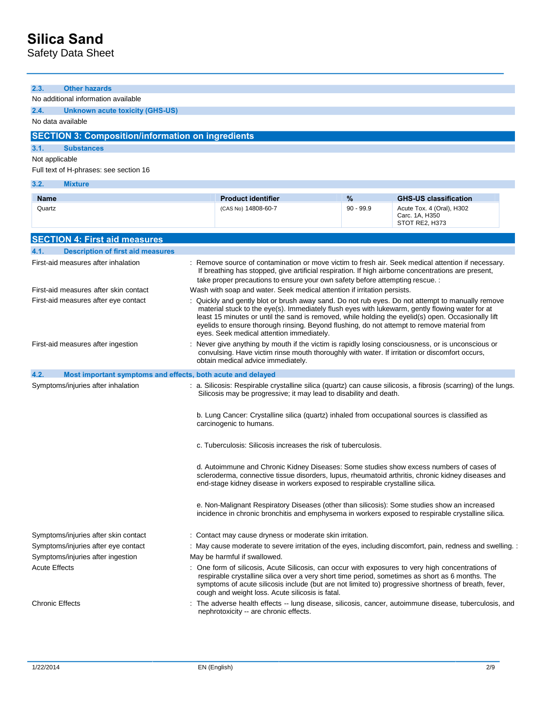# **Silica Sand**

Safety Data Sheet

| <b>Other hazards</b><br>No additional information available<br>2.4.<br><b>Unknown acute toxicity (GHS-US)</b><br>No data available<br><b>SECTION 3: Composition/information on ingredients</b><br><b>Substances</b><br><b>Mixture</b><br>$\frac{9}{6}$<br><b>Product identifier</b><br><b>GHS-US classification</b><br>Name<br>$90 - 99.9$<br>Quartz<br>(CAS No) 14808-60-7<br>Acute Tox. 4 (Oral), H302<br>Carc. 1A, H350<br>STOT RE2, H373<br><b>Description of first aid measures</b><br>: Remove source of contamination or move victim to fresh air. Seek medical attention if necessary.<br>If breathing has stopped, give artificial respiration. If high airborne concentrations are present,<br>take proper precautions to ensure your own safety before attempting rescue. :<br>Wash with soap and water. Seek medical attention if irritation persists.<br>First-aid measures after eye contact<br>: Quickly and gently blot or brush away sand. Do not rub eyes. Do not attempt to manually remove<br>material stuck to the eye(s). Immediately flush eyes with lukewarm, gently flowing water for at<br>least 15 minutes or until the sand is removed, while holding the eyelid(s) open. Occasionally lift<br>eyelids to ensure thorough rinsing. Beyond flushing, do not attempt to remove material from<br>eyes. Seek medical attention immediately.<br>: Never give anything by mouth if the victim is rapidly losing consciousness, or is unconscious or<br>convulsing. Have victim rinse mouth thoroughly with water. If irritation or discomfort occurs,<br>obtain medical advice immediately.<br>Most important symptoms and effects, both acute and delayed<br>Symptoms/injuries after inhalation<br>: a. Silicosis: Respirable crystalline silica (quartz) can cause silicosis, a fibrosis (scarring) of the lungs.<br>Silicosis may be progressive; it may lead to disability and death.<br>b. Lung Cancer: Crystalline silica (quartz) inhaled from occupational sources is classified as<br>carcinogenic to humans.<br>c. Tuberculosis: Silicosis increases the risk of tuberculosis.<br>d. Autoimmune and Chronic Kidney Diseases: Some studies show excess numbers of cases of<br>scleroderma, connective tissue disorders, lupus, rheumatoid arthritis, chronic kidney diseases and<br>end-stage kidney disease in workers exposed to respirable crystalline silica.<br>e. Non-Malignant Respiratory Diseases (other than silicosis): Some studies show an increased<br>incidence in chronic bronchitis and emphysema in workers exposed to respirable crystalline silica.<br>Symptoms/injuries after skin contact<br>: Contact may cause dryness or moderate skin irritation.<br>Symptoms/injuries after eye contact<br>: May cause moderate to severe irritation of the eyes, including discomfort, pain, redness and swelling. :<br>May be harmful if swallowed.<br>Symptoms/injuries after ingestion<br><b>Acute Effects</b><br>: One form of silicosis, Acute Silicosis, can occur with exposures to very high concentrations of<br>respirable crystalline silica over a very short time period, sometimes as short as 6 months. The<br>symptoms of acute silicosis include (but are not limited to) progressive shortness of breath, fever,<br>cough and weight loss. Acute silicosis is fatal. |                                        |  |  |
|-----------------------------------------------------------------------------------------------------------------------------------------------------------------------------------------------------------------------------------------------------------------------------------------------------------------------------------------------------------------------------------------------------------------------------------------------------------------------------------------------------------------------------------------------------------------------------------------------------------------------------------------------------------------------------------------------------------------------------------------------------------------------------------------------------------------------------------------------------------------------------------------------------------------------------------------------------------------------------------------------------------------------------------------------------------------------------------------------------------------------------------------------------------------------------------------------------------------------------------------------------------------------------------------------------------------------------------------------------------------------------------------------------------------------------------------------------------------------------------------------------------------------------------------------------------------------------------------------------------------------------------------------------------------------------------------------------------------------------------------------------------------------------------------------------------------------------------------------------------------------------------------------------------------------------------------------------------------------------------------------------------------------------------------------------------------------------------------------------------------------------------------------------------------------------------------------------------------------------------------------------------------------------------------------------------------------------------------------------------------------------------------------------------------------------------------------------------------------------------------------------------------------------------------------------------------------------------------------------------------------------------------------------------------------------------------------------------------------------------------------------------------------------------------------------------------------------------------------------------------------------------------------------------------------------------------------------------------------------------------------------------------------------------------------------------------------------------------------------------------------------------------------------------------------------------------------------------------------------------------------------------------------------------------------------------------------------------|----------------------------------------|--|--|
|                                                                                                                                                                                                                                                                                                                                                                                                                                                                                                                                                                                                                                                                                                                                                                                                                                                                                                                                                                                                                                                                                                                                                                                                                                                                                                                                                                                                                                                                                                                                                                                                                                                                                                                                                                                                                                                                                                                                                                                                                                                                                                                                                                                                                                                                                                                                                                                                                                                                                                                                                                                                                                                                                                                                                                                                                                                                                                                                                                                                                                                                                                                                                                                                                                                                                                                                   | 2.3.                                   |  |  |
|                                                                                                                                                                                                                                                                                                                                                                                                                                                                                                                                                                                                                                                                                                                                                                                                                                                                                                                                                                                                                                                                                                                                                                                                                                                                                                                                                                                                                                                                                                                                                                                                                                                                                                                                                                                                                                                                                                                                                                                                                                                                                                                                                                                                                                                                                                                                                                                                                                                                                                                                                                                                                                                                                                                                                                                                                                                                                                                                                                                                                                                                                                                                                                                                                                                                                                                                   |                                        |  |  |
|                                                                                                                                                                                                                                                                                                                                                                                                                                                                                                                                                                                                                                                                                                                                                                                                                                                                                                                                                                                                                                                                                                                                                                                                                                                                                                                                                                                                                                                                                                                                                                                                                                                                                                                                                                                                                                                                                                                                                                                                                                                                                                                                                                                                                                                                                                                                                                                                                                                                                                                                                                                                                                                                                                                                                                                                                                                                                                                                                                                                                                                                                                                                                                                                                                                                                                                                   |                                        |  |  |
|                                                                                                                                                                                                                                                                                                                                                                                                                                                                                                                                                                                                                                                                                                                                                                                                                                                                                                                                                                                                                                                                                                                                                                                                                                                                                                                                                                                                                                                                                                                                                                                                                                                                                                                                                                                                                                                                                                                                                                                                                                                                                                                                                                                                                                                                                                                                                                                                                                                                                                                                                                                                                                                                                                                                                                                                                                                                                                                                                                                                                                                                                                                                                                                                                                                                                                                                   |                                        |  |  |
|                                                                                                                                                                                                                                                                                                                                                                                                                                                                                                                                                                                                                                                                                                                                                                                                                                                                                                                                                                                                                                                                                                                                                                                                                                                                                                                                                                                                                                                                                                                                                                                                                                                                                                                                                                                                                                                                                                                                                                                                                                                                                                                                                                                                                                                                                                                                                                                                                                                                                                                                                                                                                                                                                                                                                                                                                                                                                                                                                                                                                                                                                                                                                                                                                                                                                                                                   |                                        |  |  |
|                                                                                                                                                                                                                                                                                                                                                                                                                                                                                                                                                                                                                                                                                                                                                                                                                                                                                                                                                                                                                                                                                                                                                                                                                                                                                                                                                                                                                                                                                                                                                                                                                                                                                                                                                                                                                                                                                                                                                                                                                                                                                                                                                                                                                                                                                                                                                                                                                                                                                                                                                                                                                                                                                                                                                                                                                                                                                                                                                                                                                                                                                                                                                                                                                                                                                                                                   | 3.1.                                   |  |  |
|                                                                                                                                                                                                                                                                                                                                                                                                                                                                                                                                                                                                                                                                                                                                                                                                                                                                                                                                                                                                                                                                                                                                                                                                                                                                                                                                                                                                                                                                                                                                                                                                                                                                                                                                                                                                                                                                                                                                                                                                                                                                                                                                                                                                                                                                                                                                                                                                                                                                                                                                                                                                                                                                                                                                                                                                                                                                                                                                                                                                                                                                                                                                                                                                                                                                                                                                   | Not applicable                         |  |  |
|                                                                                                                                                                                                                                                                                                                                                                                                                                                                                                                                                                                                                                                                                                                                                                                                                                                                                                                                                                                                                                                                                                                                                                                                                                                                                                                                                                                                                                                                                                                                                                                                                                                                                                                                                                                                                                                                                                                                                                                                                                                                                                                                                                                                                                                                                                                                                                                                                                                                                                                                                                                                                                                                                                                                                                                                                                                                                                                                                                                                                                                                                                                                                                                                                                                                                                                                   | Full text of H-phrases: see section 16 |  |  |
|                                                                                                                                                                                                                                                                                                                                                                                                                                                                                                                                                                                                                                                                                                                                                                                                                                                                                                                                                                                                                                                                                                                                                                                                                                                                                                                                                                                                                                                                                                                                                                                                                                                                                                                                                                                                                                                                                                                                                                                                                                                                                                                                                                                                                                                                                                                                                                                                                                                                                                                                                                                                                                                                                                                                                                                                                                                                                                                                                                                                                                                                                                                                                                                                                                                                                                                                   | 3.2.                                   |  |  |
|                                                                                                                                                                                                                                                                                                                                                                                                                                                                                                                                                                                                                                                                                                                                                                                                                                                                                                                                                                                                                                                                                                                                                                                                                                                                                                                                                                                                                                                                                                                                                                                                                                                                                                                                                                                                                                                                                                                                                                                                                                                                                                                                                                                                                                                                                                                                                                                                                                                                                                                                                                                                                                                                                                                                                                                                                                                                                                                                                                                                                                                                                                                                                                                                                                                                                                                                   |                                        |  |  |
|                                                                                                                                                                                                                                                                                                                                                                                                                                                                                                                                                                                                                                                                                                                                                                                                                                                                                                                                                                                                                                                                                                                                                                                                                                                                                                                                                                                                                                                                                                                                                                                                                                                                                                                                                                                                                                                                                                                                                                                                                                                                                                                                                                                                                                                                                                                                                                                                                                                                                                                                                                                                                                                                                                                                                                                                                                                                                                                                                                                                                                                                                                                                                                                                                                                                                                                                   |                                        |  |  |
|                                                                                                                                                                                                                                                                                                                                                                                                                                                                                                                                                                                                                                                                                                                                                                                                                                                                                                                                                                                                                                                                                                                                                                                                                                                                                                                                                                                                                                                                                                                                                                                                                                                                                                                                                                                                                                                                                                                                                                                                                                                                                                                                                                                                                                                                                                                                                                                                                                                                                                                                                                                                                                                                                                                                                                                                                                                                                                                                                                                                                                                                                                                                                                                                                                                                                                                                   |                                        |  |  |
|                                                                                                                                                                                                                                                                                                                                                                                                                                                                                                                                                                                                                                                                                                                                                                                                                                                                                                                                                                                                                                                                                                                                                                                                                                                                                                                                                                                                                                                                                                                                                                                                                                                                                                                                                                                                                                                                                                                                                                                                                                                                                                                                                                                                                                                                                                                                                                                                                                                                                                                                                                                                                                                                                                                                                                                                                                                                                                                                                                                                                                                                                                                                                                                                                                                                                                                                   |                                        |  |  |
|                                                                                                                                                                                                                                                                                                                                                                                                                                                                                                                                                                                                                                                                                                                                                                                                                                                                                                                                                                                                                                                                                                                                                                                                                                                                                                                                                                                                                                                                                                                                                                                                                                                                                                                                                                                                                                                                                                                                                                                                                                                                                                                                                                                                                                                                                                                                                                                                                                                                                                                                                                                                                                                                                                                                                                                                                                                                                                                                                                                                                                                                                                                                                                                                                                                                                                                                   | <b>SECTION 4: First aid measures</b>   |  |  |
|                                                                                                                                                                                                                                                                                                                                                                                                                                                                                                                                                                                                                                                                                                                                                                                                                                                                                                                                                                                                                                                                                                                                                                                                                                                                                                                                                                                                                                                                                                                                                                                                                                                                                                                                                                                                                                                                                                                                                                                                                                                                                                                                                                                                                                                                                                                                                                                                                                                                                                                                                                                                                                                                                                                                                                                                                                                                                                                                                                                                                                                                                                                                                                                                                                                                                                                                   | 4.1.                                   |  |  |
|                                                                                                                                                                                                                                                                                                                                                                                                                                                                                                                                                                                                                                                                                                                                                                                                                                                                                                                                                                                                                                                                                                                                                                                                                                                                                                                                                                                                                                                                                                                                                                                                                                                                                                                                                                                                                                                                                                                                                                                                                                                                                                                                                                                                                                                                                                                                                                                                                                                                                                                                                                                                                                                                                                                                                                                                                                                                                                                                                                                                                                                                                                                                                                                                                                                                                                                                   | First-aid measures after inhalation    |  |  |
|                                                                                                                                                                                                                                                                                                                                                                                                                                                                                                                                                                                                                                                                                                                                                                                                                                                                                                                                                                                                                                                                                                                                                                                                                                                                                                                                                                                                                                                                                                                                                                                                                                                                                                                                                                                                                                                                                                                                                                                                                                                                                                                                                                                                                                                                                                                                                                                                                                                                                                                                                                                                                                                                                                                                                                                                                                                                                                                                                                                                                                                                                                                                                                                                                                                                                                                                   |                                        |  |  |
|                                                                                                                                                                                                                                                                                                                                                                                                                                                                                                                                                                                                                                                                                                                                                                                                                                                                                                                                                                                                                                                                                                                                                                                                                                                                                                                                                                                                                                                                                                                                                                                                                                                                                                                                                                                                                                                                                                                                                                                                                                                                                                                                                                                                                                                                                                                                                                                                                                                                                                                                                                                                                                                                                                                                                                                                                                                                                                                                                                                                                                                                                                                                                                                                                                                                                                                                   | First-aid measures after skin contact  |  |  |
|                                                                                                                                                                                                                                                                                                                                                                                                                                                                                                                                                                                                                                                                                                                                                                                                                                                                                                                                                                                                                                                                                                                                                                                                                                                                                                                                                                                                                                                                                                                                                                                                                                                                                                                                                                                                                                                                                                                                                                                                                                                                                                                                                                                                                                                                                                                                                                                                                                                                                                                                                                                                                                                                                                                                                                                                                                                                                                                                                                                                                                                                                                                                                                                                                                                                                                                                   |                                        |  |  |
|                                                                                                                                                                                                                                                                                                                                                                                                                                                                                                                                                                                                                                                                                                                                                                                                                                                                                                                                                                                                                                                                                                                                                                                                                                                                                                                                                                                                                                                                                                                                                                                                                                                                                                                                                                                                                                                                                                                                                                                                                                                                                                                                                                                                                                                                                                                                                                                                                                                                                                                                                                                                                                                                                                                                                                                                                                                                                                                                                                                                                                                                                                                                                                                                                                                                                                                                   |                                        |  |  |
|                                                                                                                                                                                                                                                                                                                                                                                                                                                                                                                                                                                                                                                                                                                                                                                                                                                                                                                                                                                                                                                                                                                                                                                                                                                                                                                                                                                                                                                                                                                                                                                                                                                                                                                                                                                                                                                                                                                                                                                                                                                                                                                                                                                                                                                                                                                                                                                                                                                                                                                                                                                                                                                                                                                                                                                                                                                                                                                                                                                                                                                                                                                                                                                                                                                                                                                                   |                                        |  |  |
|                                                                                                                                                                                                                                                                                                                                                                                                                                                                                                                                                                                                                                                                                                                                                                                                                                                                                                                                                                                                                                                                                                                                                                                                                                                                                                                                                                                                                                                                                                                                                                                                                                                                                                                                                                                                                                                                                                                                                                                                                                                                                                                                                                                                                                                                                                                                                                                                                                                                                                                                                                                                                                                                                                                                                                                                                                                                                                                                                                                                                                                                                                                                                                                                                                                                                                                                   |                                        |  |  |
|                                                                                                                                                                                                                                                                                                                                                                                                                                                                                                                                                                                                                                                                                                                                                                                                                                                                                                                                                                                                                                                                                                                                                                                                                                                                                                                                                                                                                                                                                                                                                                                                                                                                                                                                                                                                                                                                                                                                                                                                                                                                                                                                                                                                                                                                                                                                                                                                                                                                                                                                                                                                                                                                                                                                                                                                                                                                                                                                                                                                                                                                                                                                                                                                                                                                                                                                   | First-aid measures after ingestion     |  |  |
|                                                                                                                                                                                                                                                                                                                                                                                                                                                                                                                                                                                                                                                                                                                                                                                                                                                                                                                                                                                                                                                                                                                                                                                                                                                                                                                                                                                                                                                                                                                                                                                                                                                                                                                                                                                                                                                                                                                                                                                                                                                                                                                                                                                                                                                                                                                                                                                                                                                                                                                                                                                                                                                                                                                                                                                                                                                                                                                                                                                                                                                                                                                                                                                                                                                                                                                                   |                                        |  |  |
|                                                                                                                                                                                                                                                                                                                                                                                                                                                                                                                                                                                                                                                                                                                                                                                                                                                                                                                                                                                                                                                                                                                                                                                                                                                                                                                                                                                                                                                                                                                                                                                                                                                                                                                                                                                                                                                                                                                                                                                                                                                                                                                                                                                                                                                                                                                                                                                                                                                                                                                                                                                                                                                                                                                                                                                                                                                                                                                                                                                                                                                                                                                                                                                                                                                                                                                                   |                                        |  |  |
|                                                                                                                                                                                                                                                                                                                                                                                                                                                                                                                                                                                                                                                                                                                                                                                                                                                                                                                                                                                                                                                                                                                                                                                                                                                                                                                                                                                                                                                                                                                                                                                                                                                                                                                                                                                                                                                                                                                                                                                                                                                                                                                                                                                                                                                                                                                                                                                                                                                                                                                                                                                                                                                                                                                                                                                                                                                                                                                                                                                                                                                                                                                                                                                                                                                                                                                                   | 4.2.                                   |  |  |
|                                                                                                                                                                                                                                                                                                                                                                                                                                                                                                                                                                                                                                                                                                                                                                                                                                                                                                                                                                                                                                                                                                                                                                                                                                                                                                                                                                                                                                                                                                                                                                                                                                                                                                                                                                                                                                                                                                                                                                                                                                                                                                                                                                                                                                                                                                                                                                                                                                                                                                                                                                                                                                                                                                                                                                                                                                                                                                                                                                                                                                                                                                                                                                                                                                                                                                                                   |                                        |  |  |
|                                                                                                                                                                                                                                                                                                                                                                                                                                                                                                                                                                                                                                                                                                                                                                                                                                                                                                                                                                                                                                                                                                                                                                                                                                                                                                                                                                                                                                                                                                                                                                                                                                                                                                                                                                                                                                                                                                                                                                                                                                                                                                                                                                                                                                                                                                                                                                                                                                                                                                                                                                                                                                                                                                                                                                                                                                                                                                                                                                                                                                                                                                                                                                                                                                                                                                                                   |                                        |  |  |
|                                                                                                                                                                                                                                                                                                                                                                                                                                                                                                                                                                                                                                                                                                                                                                                                                                                                                                                                                                                                                                                                                                                                                                                                                                                                                                                                                                                                                                                                                                                                                                                                                                                                                                                                                                                                                                                                                                                                                                                                                                                                                                                                                                                                                                                                                                                                                                                                                                                                                                                                                                                                                                                                                                                                                                                                                                                                                                                                                                                                                                                                                                                                                                                                                                                                                                                                   |                                        |  |  |
|                                                                                                                                                                                                                                                                                                                                                                                                                                                                                                                                                                                                                                                                                                                                                                                                                                                                                                                                                                                                                                                                                                                                                                                                                                                                                                                                                                                                                                                                                                                                                                                                                                                                                                                                                                                                                                                                                                                                                                                                                                                                                                                                                                                                                                                                                                                                                                                                                                                                                                                                                                                                                                                                                                                                                                                                                                                                                                                                                                                                                                                                                                                                                                                                                                                                                                                                   |                                        |  |  |
|                                                                                                                                                                                                                                                                                                                                                                                                                                                                                                                                                                                                                                                                                                                                                                                                                                                                                                                                                                                                                                                                                                                                                                                                                                                                                                                                                                                                                                                                                                                                                                                                                                                                                                                                                                                                                                                                                                                                                                                                                                                                                                                                                                                                                                                                                                                                                                                                                                                                                                                                                                                                                                                                                                                                                                                                                                                                                                                                                                                                                                                                                                                                                                                                                                                                                                                                   |                                        |  |  |
|                                                                                                                                                                                                                                                                                                                                                                                                                                                                                                                                                                                                                                                                                                                                                                                                                                                                                                                                                                                                                                                                                                                                                                                                                                                                                                                                                                                                                                                                                                                                                                                                                                                                                                                                                                                                                                                                                                                                                                                                                                                                                                                                                                                                                                                                                                                                                                                                                                                                                                                                                                                                                                                                                                                                                                                                                                                                                                                                                                                                                                                                                                                                                                                                                                                                                                                                   |                                        |  |  |
|                                                                                                                                                                                                                                                                                                                                                                                                                                                                                                                                                                                                                                                                                                                                                                                                                                                                                                                                                                                                                                                                                                                                                                                                                                                                                                                                                                                                                                                                                                                                                                                                                                                                                                                                                                                                                                                                                                                                                                                                                                                                                                                                                                                                                                                                                                                                                                                                                                                                                                                                                                                                                                                                                                                                                                                                                                                                                                                                                                                                                                                                                                                                                                                                                                                                                                                                   |                                        |  |  |
|                                                                                                                                                                                                                                                                                                                                                                                                                                                                                                                                                                                                                                                                                                                                                                                                                                                                                                                                                                                                                                                                                                                                                                                                                                                                                                                                                                                                                                                                                                                                                                                                                                                                                                                                                                                                                                                                                                                                                                                                                                                                                                                                                                                                                                                                                                                                                                                                                                                                                                                                                                                                                                                                                                                                                                                                                                                                                                                                                                                                                                                                                                                                                                                                                                                                                                                                   |                                        |  |  |
|                                                                                                                                                                                                                                                                                                                                                                                                                                                                                                                                                                                                                                                                                                                                                                                                                                                                                                                                                                                                                                                                                                                                                                                                                                                                                                                                                                                                                                                                                                                                                                                                                                                                                                                                                                                                                                                                                                                                                                                                                                                                                                                                                                                                                                                                                                                                                                                                                                                                                                                                                                                                                                                                                                                                                                                                                                                                                                                                                                                                                                                                                                                                                                                                                                                                                                                                   |                                        |  |  |
|                                                                                                                                                                                                                                                                                                                                                                                                                                                                                                                                                                                                                                                                                                                                                                                                                                                                                                                                                                                                                                                                                                                                                                                                                                                                                                                                                                                                                                                                                                                                                                                                                                                                                                                                                                                                                                                                                                                                                                                                                                                                                                                                                                                                                                                                                                                                                                                                                                                                                                                                                                                                                                                                                                                                                                                                                                                                                                                                                                                                                                                                                                                                                                                                                                                                                                                                   |                                        |  |  |
|                                                                                                                                                                                                                                                                                                                                                                                                                                                                                                                                                                                                                                                                                                                                                                                                                                                                                                                                                                                                                                                                                                                                                                                                                                                                                                                                                                                                                                                                                                                                                                                                                                                                                                                                                                                                                                                                                                                                                                                                                                                                                                                                                                                                                                                                                                                                                                                                                                                                                                                                                                                                                                                                                                                                                                                                                                                                                                                                                                                                                                                                                                                                                                                                                                                                                                                                   |                                        |  |  |
|                                                                                                                                                                                                                                                                                                                                                                                                                                                                                                                                                                                                                                                                                                                                                                                                                                                                                                                                                                                                                                                                                                                                                                                                                                                                                                                                                                                                                                                                                                                                                                                                                                                                                                                                                                                                                                                                                                                                                                                                                                                                                                                                                                                                                                                                                                                                                                                                                                                                                                                                                                                                                                                                                                                                                                                                                                                                                                                                                                                                                                                                                                                                                                                                                                                                                                                                   |                                        |  |  |
|                                                                                                                                                                                                                                                                                                                                                                                                                                                                                                                                                                                                                                                                                                                                                                                                                                                                                                                                                                                                                                                                                                                                                                                                                                                                                                                                                                                                                                                                                                                                                                                                                                                                                                                                                                                                                                                                                                                                                                                                                                                                                                                                                                                                                                                                                                                                                                                                                                                                                                                                                                                                                                                                                                                                                                                                                                                                                                                                                                                                                                                                                                                                                                                                                                                                                                                                   |                                        |  |  |
|                                                                                                                                                                                                                                                                                                                                                                                                                                                                                                                                                                                                                                                                                                                                                                                                                                                                                                                                                                                                                                                                                                                                                                                                                                                                                                                                                                                                                                                                                                                                                                                                                                                                                                                                                                                                                                                                                                                                                                                                                                                                                                                                                                                                                                                                                                                                                                                                                                                                                                                                                                                                                                                                                                                                                                                                                                                                                                                                                                                                                                                                                                                                                                                                                                                                                                                                   |                                        |  |  |
|                                                                                                                                                                                                                                                                                                                                                                                                                                                                                                                                                                                                                                                                                                                                                                                                                                                                                                                                                                                                                                                                                                                                                                                                                                                                                                                                                                                                                                                                                                                                                                                                                                                                                                                                                                                                                                                                                                                                                                                                                                                                                                                                                                                                                                                                                                                                                                                                                                                                                                                                                                                                                                                                                                                                                                                                                                                                                                                                                                                                                                                                                                                                                                                                                                                                                                                                   |                                        |  |  |
|                                                                                                                                                                                                                                                                                                                                                                                                                                                                                                                                                                                                                                                                                                                                                                                                                                                                                                                                                                                                                                                                                                                                                                                                                                                                                                                                                                                                                                                                                                                                                                                                                                                                                                                                                                                                                                                                                                                                                                                                                                                                                                                                                                                                                                                                                                                                                                                                                                                                                                                                                                                                                                                                                                                                                                                                                                                                                                                                                                                                                                                                                                                                                                                                                                                                                                                                   |                                        |  |  |
|                                                                                                                                                                                                                                                                                                                                                                                                                                                                                                                                                                                                                                                                                                                                                                                                                                                                                                                                                                                                                                                                                                                                                                                                                                                                                                                                                                                                                                                                                                                                                                                                                                                                                                                                                                                                                                                                                                                                                                                                                                                                                                                                                                                                                                                                                                                                                                                                                                                                                                                                                                                                                                                                                                                                                                                                                                                                                                                                                                                                                                                                                                                                                                                                                                                                                                                                   |                                        |  |  |
|                                                                                                                                                                                                                                                                                                                                                                                                                                                                                                                                                                                                                                                                                                                                                                                                                                                                                                                                                                                                                                                                                                                                                                                                                                                                                                                                                                                                                                                                                                                                                                                                                                                                                                                                                                                                                                                                                                                                                                                                                                                                                                                                                                                                                                                                                                                                                                                                                                                                                                                                                                                                                                                                                                                                                                                                                                                                                                                                                                                                                                                                                                                                                                                                                                                                                                                                   |                                        |  |  |
|                                                                                                                                                                                                                                                                                                                                                                                                                                                                                                                                                                                                                                                                                                                                                                                                                                                                                                                                                                                                                                                                                                                                                                                                                                                                                                                                                                                                                                                                                                                                                                                                                                                                                                                                                                                                                                                                                                                                                                                                                                                                                                                                                                                                                                                                                                                                                                                                                                                                                                                                                                                                                                                                                                                                                                                                                                                                                                                                                                                                                                                                                                                                                                                                                                                                                                                                   |                                        |  |  |
| : The adverse health effects -- lung disease, silicosis, cancer, autoimmune disease, tuberculosis, and<br>nephrotoxicity -- are chronic effects.                                                                                                                                                                                                                                                                                                                                                                                                                                                                                                                                                                                                                                                                                                                                                                                                                                                                                                                                                                                                                                                                                                                                                                                                                                                                                                                                                                                                                                                                                                                                                                                                                                                                                                                                                                                                                                                                                                                                                                                                                                                                                                                                                                                                                                                                                                                                                                                                                                                                                                                                                                                                                                                                                                                                                                                                                                                                                                                                                                                                                                                                                                                                                                                  | <b>Chronic Effects</b>                 |  |  |
|                                                                                                                                                                                                                                                                                                                                                                                                                                                                                                                                                                                                                                                                                                                                                                                                                                                                                                                                                                                                                                                                                                                                                                                                                                                                                                                                                                                                                                                                                                                                                                                                                                                                                                                                                                                                                                                                                                                                                                                                                                                                                                                                                                                                                                                                                                                                                                                                                                                                                                                                                                                                                                                                                                                                                                                                                                                                                                                                                                                                                                                                                                                                                                                                                                                                                                                                   |                                        |  |  |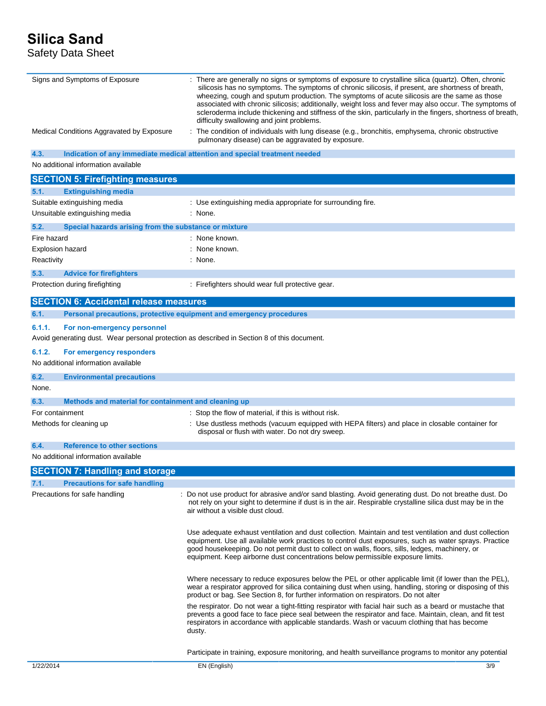# **Silica Sand**

Safety Data Sheet

| Signs and Symptoms of Exposure                                                                                                       | : There are generally no signs or symptoms of exposure to crystalline silica (quartz). Often, chronic<br>silicosis has no symptoms. The symptoms of chronic silicosis, if present, are shortness of breath,<br>wheezing, cough and sputum production. The symptoms of acute silicosis are the same as those<br>associated with chronic silicosis; additionally, weight loss and fever may also occur. The symptoms of<br>scleroderma include thickening and stiffness of the skin, particularly in the fingers, shortness of breath,<br>difficulty swallowing and joint problems. |
|--------------------------------------------------------------------------------------------------------------------------------------|-----------------------------------------------------------------------------------------------------------------------------------------------------------------------------------------------------------------------------------------------------------------------------------------------------------------------------------------------------------------------------------------------------------------------------------------------------------------------------------------------------------------------------------------------------------------------------------|
| Medical Conditions Aggravated by Exposure                                                                                            | : The condition of individuals with lung disease (e.g., bronchitis, emphysema, chronic obstructive<br>pulmonary disease) can be aggravated by exposure.                                                                                                                                                                                                                                                                                                                                                                                                                           |
| 4.3.                                                                                                                                 | Indication of any immediate medical attention and special treatment needed                                                                                                                                                                                                                                                                                                                                                                                                                                                                                                        |
| No additional information available                                                                                                  |                                                                                                                                                                                                                                                                                                                                                                                                                                                                                                                                                                                   |
| <b>SECTION 5: Firefighting measures</b>                                                                                              |                                                                                                                                                                                                                                                                                                                                                                                                                                                                                                                                                                                   |
| 5.1.<br><b>Extinguishing media</b>                                                                                                   |                                                                                                                                                                                                                                                                                                                                                                                                                                                                                                                                                                                   |
| Suitable extinguishing media                                                                                                         | : Use extinguishing media appropriate for surrounding fire.                                                                                                                                                                                                                                                                                                                                                                                                                                                                                                                       |
| Unsuitable extinguishing media                                                                                                       | : None.                                                                                                                                                                                                                                                                                                                                                                                                                                                                                                                                                                           |
| 5.2.<br>Special hazards arising from the substance or mixture                                                                        |                                                                                                                                                                                                                                                                                                                                                                                                                                                                                                                                                                                   |
| Fire hazard                                                                                                                          | : None known.                                                                                                                                                                                                                                                                                                                                                                                                                                                                                                                                                                     |
| <b>Explosion hazard</b>                                                                                                              | : None known.                                                                                                                                                                                                                                                                                                                                                                                                                                                                                                                                                                     |
| Reactivity                                                                                                                           | : None.                                                                                                                                                                                                                                                                                                                                                                                                                                                                                                                                                                           |
| 5.3.<br><b>Advice for firefighters</b>                                                                                               |                                                                                                                                                                                                                                                                                                                                                                                                                                                                                                                                                                                   |
| Protection during firefighting                                                                                                       | : Firefighters should wear full protective gear.                                                                                                                                                                                                                                                                                                                                                                                                                                                                                                                                  |
|                                                                                                                                      |                                                                                                                                                                                                                                                                                                                                                                                                                                                                                                                                                                                   |
| <b>SECTION 6: Accidental release measures</b>                                                                                        |                                                                                                                                                                                                                                                                                                                                                                                                                                                                                                                                                                                   |
| 6.1.                                                                                                                                 | Personal precautions, protective equipment and emergency procedures                                                                                                                                                                                                                                                                                                                                                                                                                                                                                                               |
| 6.1.1.<br>For non-emergency personnel<br>Avoid generating dust. Wear personal protection as described in Section 8 of this document. |                                                                                                                                                                                                                                                                                                                                                                                                                                                                                                                                                                                   |
| 6.1.2.<br>For emergency responders                                                                                                   |                                                                                                                                                                                                                                                                                                                                                                                                                                                                                                                                                                                   |
| No additional information available                                                                                                  |                                                                                                                                                                                                                                                                                                                                                                                                                                                                                                                                                                                   |
| 6.2.<br><b>Environmental precautions</b>                                                                                             |                                                                                                                                                                                                                                                                                                                                                                                                                                                                                                                                                                                   |
| None.                                                                                                                                |                                                                                                                                                                                                                                                                                                                                                                                                                                                                                                                                                                                   |
| Methods and material for containment and cleaning up<br>6.3.                                                                         |                                                                                                                                                                                                                                                                                                                                                                                                                                                                                                                                                                                   |
| For containment                                                                                                                      | : Stop the flow of material, if this is without risk.                                                                                                                                                                                                                                                                                                                                                                                                                                                                                                                             |
| Methods for cleaning up                                                                                                              | : Use dustless methods (vacuum equipped with HEPA filters) and place in closable container for                                                                                                                                                                                                                                                                                                                                                                                                                                                                                    |
|                                                                                                                                      | disposal or flush with water. Do not dry sweep.                                                                                                                                                                                                                                                                                                                                                                                                                                                                                                                                   |
| <b>Reference to other sections</b><br>6.4.                                                                                           |                                                                                                                                                                                                                                                                                                                                                                                                                                                                                                                                                                                   |
| No additional information available                                                                                                  |                                                                                                                                                                                                                                                                                                                                                                                                                                                                                                                                                                                   |
| <b>SECTION 7: Handling and storage</b>                                                                                               |                                                                                                                                                                                                                                                                                                                                                                                                                                                                                                                                                                                   |
| 7.1.<br><b>Precautions for safe handling</b>                                                                                         |                                                                                                                                                                                                                                                                                                                                                                                                                                                                                                                                                                                   |
| Precautions for safe handling                                                                                                        | : Do not use product for abrasive and/or sand blasting. Avoid generating dust. Do not breathe dust. Do<br>not rely on your sight to determine if dust is in the air. Respirable crystalline silica dust may be in the<br>air without a visible dust cloud.                                                                                                                                                                                                                                                                                                                        |
|                                                                                                                                      | Use adequate exhaust ventilation and dust collection. Maintain and test ventilation and dust collection<br>equipment. Use all available work practices to control dust exposures, such as water sprays. Practice<br>good housekeeping. Do not permit dust to collect on walls, floors, sills, ledges, machinery, or<br>equipment. Keep airborne dust concentrations below permissible exposure limits.                                                                                                                                                                            |
|                                                                                                                                      | Where necessary to reduce exposures below the PEL or other applicable limit (if lower than the PEL),<br>wear a respirator approved for silica containing dust when using, handling, storing or disposing of this<br>product or bag. See Section 8, for further information on respirators. Do not alter                                                                                                                                                                                                                                                                           |
|                                                                                                                                      | the respirator. Do not wear a tight-fitting respirator with facial hair such as a beard or mustache that<br>prevents a good face to face piece seal between the respirator and face. Maintain, clean, and fit test<br>respirators in accordance with applicable standards. Wash or vacuum clothing that has become<br>dusty.                                                                                                                                                                                                                                                      |

Participate in training, exposure monitoring, and health surveillance programs to monitor any potential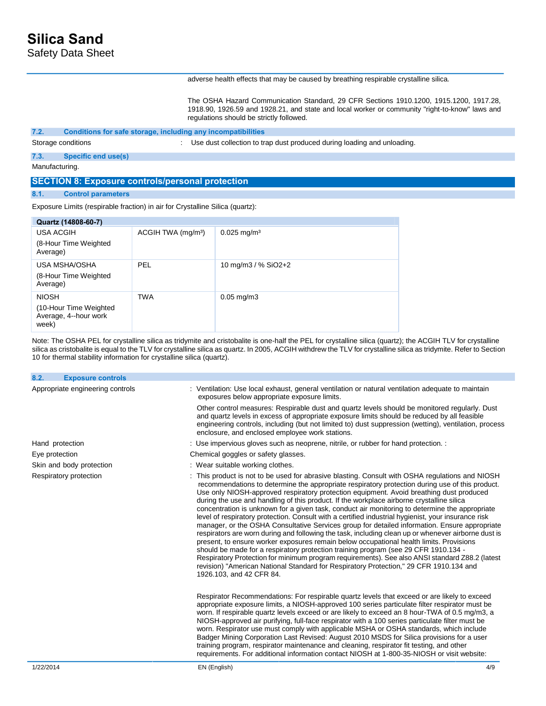Safety Data Sheet

### adverse health effects that may be caused by breathing respirable crystalline silica.

The OSHA Hazard Communication Standard, 29 CFR Sections 1910.1200, 1915.1200, 1917.28, 1918.90, 1926.59 and 1928.21, and state and local worker or community "right-to-know" laws and regulations should be strictly followed.

#### **7.2. Conditions for safe storage, including any incompatibilities**

Storage conditions **Storage conditions** : Use dust collection to trap dust produced during loading and unloading.

# **7.3. Specific end use(s)**

Manufacturing.

# **SECTION 8: Exposure controls/personal protection**

## **8.1. Control parameters**

Exposure Limits (respirable fraction) in air for Crystalline Silica (quartz):

| Quartz (14808-60-7)                                                      |                                |                           |
|--------------------------------------------------------------------------|--------------------------------|---------------------------|
| USA ACGIH<br>(8-Hour Time Weighted<br>Average)                           | ACGIH TWA (mg/m <sup>3</sup> ) | $0.025$ mg/m <sup>3</sup> |
| USA MSHA/OSHA<br>(8-Hour Time Weighted<br>Average)                       | PEL                            | 10 mg/m3 / % SiO2+2       |
| <b>NIOSH</b><br>(10-Hour Time Weighted<br>Average, 4--hour work<br>week) | <b>TWA</b>                     | $0.05$ mg/m $3$           |

Note: The OSHA PEL for crystalline silica as tridymite and cristobalite is one-half the PEL for crystalline silica (quartz); the ACGIH TLV for crystalline silica as cristobalite is equal to the TLV for crystalline silica as quartz. In 2005, ACGIH withdrew the TLV for crystalline silica as tridymite. Refer to Section 10 for thermal stability information for crystalline silica (quartz).

| 8.2.<br><b>Exposure controls</b> |                                                                                                                                                                                                                                                                                                                                                                                                                                                                                                                                                                                                                                                                                                                                                                                                                                                                                                                                                                                                                                                                                                                                                                                                                       |
|----------------------------------|-----------------------------------------------------------------------------------------------------------------------------------------------------------------------------------------------------------------------------------------------------------------------------------------------------------------------------------------------------------------------------------------------------------------------------------------------------------------------------------------------------------------------------------------------------------------------------------------------------------------------------------------------------------------------------------------------------------------------------------------------------------------------------------------------------------------------------------------------------------------------------------------------------------------------------------------------------------------------------------------------------------------------------------------------------------------------------------------------------------------------------------------------------------------------------------------------------------------------|
| Appropriate engineering controls | : Ventilation: Use local exhaust, general ventilation or natural ventilation adequate to maintain<br>exposures below appropriate exposure limits.                                                                                                                                                                                                                                                                                                                                                                                                                                                                                                                                                                                                                                                                                                                                                                                                                                                                                                                                                                                                                                                                     |
|                                  | Other control measures: Respirable dust and quartz levels should be monitored requiarly. Dust<br>and quartz levels in excess of appropriate exposure limits should be reduced by all feasible<br>engineering controls, including (but not limited to) dust suppression (wetting), ventilation, process<br>enclosure, and enclosed employee work stations.                                                                                                                                                                                                                                                                                                                                                                                                                                                                                                                                                                                                                                                                                                                                                                                                                                                             |
| Hand protection                  | : Use impervious gloves such as neoprene, nitrile, or rubber for hand protection. :                                                                                                                                                                                                                                                                                                                                                                                                                                                                                                                                                                                                                                                                                                                                                                                                                                                                                                                                                                                                                                                                                                                                   |
| Eye protection                   | Chemical goggles or safety glasses.                                                                                                                                                                                                                                                                                                                                                                                                                                                                                                                                                                                                                                                                                                                                                                                                                                                                                                                                                                                                                                                                                                                                                                                   |
| Skin and body protection         | : Wear suitable working clothes.                                                                                                                                                                                                                                                                                                                                                                                                                                                                                                                                                                                                                                                                                                                                                                                                                                                                                                                                                                                                                                                                                                                                                                                      |
| Respiratory protection           | : This product is not to be used for abrasive blasting. Consult with OSHA regulations and NIOSH<br>recommendations to determine the appropriate respiratory protection during use of this product.<br>Use only NIOSH-approved respiratory protection equipment. Avoid breathing dust produced<br>during the use and handling of this product. If the workplace airborne crystalline silica<br>concentration is unknown for a given task, conduct air monitoring to determine the appropriate<br>level of respiratory protection. Consult with a certified industrial hygienist, your insurance risk<br>manager, or the OSHA Consultative Services group for detailed information. Ensure appropriate<br>respirators are worn during and following the task, including clean up or whenever airborne dust is<br>present, to ensure worker exposures remain below occupational health limits. Provisions<br>should be made for a respiratory protection training program (see 29 CFR 1910.134 -<br>Respiratory Protection for minimum program requirements). See also ANSI standard Z88.2 (latest<br>revision) "American National Standard for Respiratory Protection," 29 CFR 1910.134 and<br>1926.103, and 42 CFR 84. |
|                                  | Respirator Recommendations: For respirable quartz levels that exceed or are likely to exceed<br>appropriate exposure limits, a NIOSH-approved 100 series particulate filter respirator must be<br>worn. If respirable quartz levels exceed or are likely to exceed an 8 hour-TWA of 0.5 mg/m3, a<br>NIOSH-approved air purifying, full-face respirator with a 100 series particulate filter must be<br>worn. Respirator use must comply with applicable MSHA or OSHA standards, which include<br>Badger Mining Corporation Last Revised: August 2010 MSDS for Silica provisions for a user<br>training program, respirator maintenance and cleaning, respirator fit testing, and other<br>requirements. For additional information contact NIOSH at 1-800-35-NIOSH or visit website:                                                                                                                                                                                                                                                                                                                                                                                                                                  |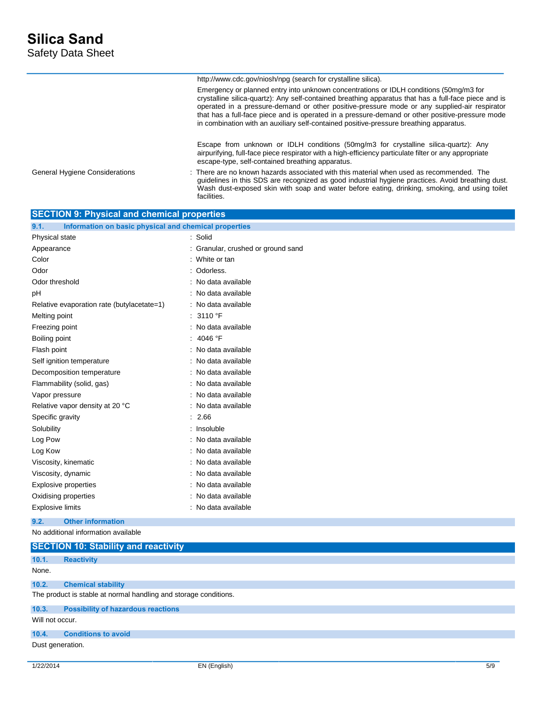|                                                    | http://www.cdc.gov/niosh/npg (search for crystalline silica).                                                                                                                                                                                                                                                                                                                                                                                                                               |
|----------------------------------------------------|---------------------------------------------------------------------------------------------------------------------------------------------------------------------------------------------------------------------------------------------------------------------------------------------------------------------------------------------------------------------------------------------------------------------------------------------------------------------------------------------|
|                                                    | Emergency or planned entry into unknown concentrations or IDLH conditions (50mg/m3 for<br>crystalline silica-quartz): Any self-contained breathing apparatus that has a full-face piece and is<br>operated in a pressure-demand or other positive-pressure mode or any supplied-air respirator<br>that has a full-face piece and is operated in a pressure-demand or other positive-pressure mode<br>in combination with an auxiliary self-contained positive-pressure breathing apparatus. |
|                                                    | Escape from unknown or IDLH conditions (50mg/m3 for crystalline silica-quartz): Any<br>airpurifying, full-face piece respirator with a high-efficiency particulate filter or any appropriate<br>escape-type, self-contained breathing apparatus.                                                                                                                                                                                                                                            |
| <b>General Hygiene Considerations</b>              | $\therefore$ There are no known hazards associated with this material when used as recommended. The<br>guidelines in this SDS are recognized as good industrial hygiene practices. Avoid breathing dust.<br>Wash dust-exposed skin with soap and water before eating, drinking, smoking, and using toilet<br>facilities.                                                                                                                                                                    |
| <b>SECTION 9: Physical and chemical properties</b> |                                                                                                                                                                                                                                                                                                                                                                                                                                                                                             |

| Information on basic physical and chemical properties<br>9.1. |                                    |
|---------------------------------------------------------------|------------------------------------|
| Physical state                                                | : Solid                            |
| Appearance                                                    | : Granular, crushed or ground sand |
| Color                                                         | : White or tan                     |
| Odor                                                          | : Odorless.                        |
| Odor threshold                                                | : No data available                |
| рH                                                            | : No data available                |
| Relative evaporation rate (butylacetate=1)                    | : No data available                |
| Melting point                                                 | : 3110 °F                          |
| Freezing point                                                | : No data available                |
| Boiling point                                                 | : 4046 °F                          |
| Flash point                                                   | No data available                  |
| Self ignition temperature                                     | : No data available                |
| Decomposition temperature                                     | : No data available                |
| Flammability (solid, gas)                                     | : No data available                |
| Vapor pressure                                                | : No data available                |
| Relative vapor density at 20 °C                               | : No data available                |
| Specific gravity                                              | : 2.66                             |
| Solubility                                                    | : Insoluble                        |
| Log Pow                                                       | : No data available                |
| Log Kow                                                       | : No data available                |
| Viscosity, kinematic                                          | : No data available                |
| Viscosity, dynamic                                            | : No data available                |
| <b>Explosive properties</b>                                   | : No data available                |
| Oxidising properties                                          | : No data available                |
| <b>Explosive limits</b>                                       | : No data available                |
| 9.2.<br><b>Other information</b>                              |                                    |

No additional information available

|                  | <b>SECTION 10: Stability and reactivity</b>                      |  |  |  |
|------------------|------------------------------------------------------------------|--|--|--|
| 10.1.            | <b>Reactivity</b>                                                |  |  |  |
| None.            |                                                                  |  |  |  |
| 10.2.            | <b>Chemical stability</b>                                        |  |  |  |
|                  | The product is stable at normal handling and storage conditions. |  |  |  |
| 10.3.            | <b>Possibility of hazardous reactions</b>                        |  |  |  |
|                  | Will not occur.                                                  |  |  |  |
| 10.4.            | <b>Conditions to avoid</b>                                       |  |  |  |
| Dust generation. |                                                                  |  |  |  |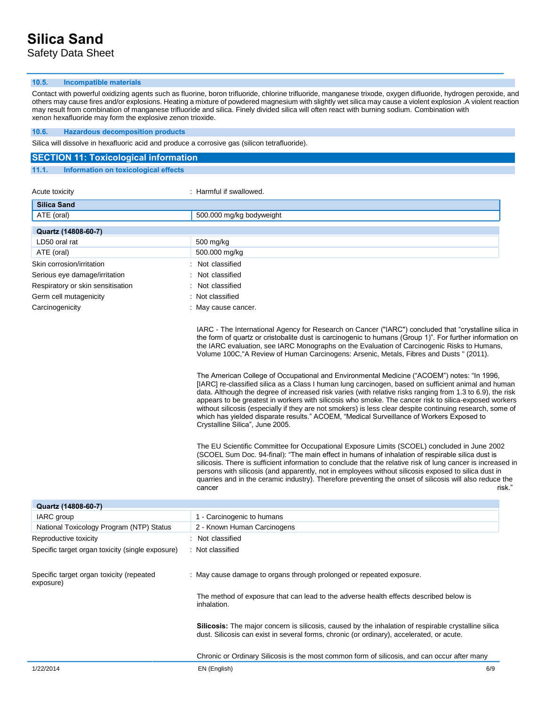## **10.5. Incompatible materials**

Contact with powerful oxidizing agents such as fluorine, boron trifluoride, chlorine trifluoride, manganese trixode, oxygen difluoride, hydrogen peroxide, and others may cause fires and/or explosions. Heating a mixture of powdered magnesium with slightly wet silica may cause a violent explosion .A violent reaction may result from combination of manganese trifluoride and silica. Finely divided silica will often react with burning sodium. Combination with xenon hexafluoride may form the explosive zenon trioxide.

### **10.6. Hazardous decomposition products**

Silica will dissolve in hexafluoric acid and produce a corrosive gas (silicon tetrafluoride).

|       | <b>SECTION 11: Toxicological information</b> |
|-------|----------------------------------------------|
| 11.1. | Information on toxicological effects         |

| Acute toxicity                    | : Harmful if swallowed.                                                                                                                                                                                                                                                                                                                                                                                                                                                                                                                                                                                                                                                                                                                                                                                                                                                                                                                                                                                                                                                               |
|-----------------------------------|---------------------------------------------------------------------------------------------------------------------------------------------------------------------------------------------------------------------------------------------------------------------------------------------------------------------------------------------------------------------------------------------------------------------------------------------------------------------------------------------------------------------------------------------------------------------------------------------------------------------------------------------------------------------------------------------------------------------------------------------------------------------------------------------------------------------------------------------------------------------------------------------------------------------------------------------------------------------------------------------------------------------------------------------------------------------------------------|
| <b>Silica Sand</b>                |                                                                                                                                                                                                                                                                                                                                                                                                                                                                                                                                                                                                                                                                                                                                                                                                                                                                                                                                                                                                                                                                                       |
| ATE (oral)                        | 500.000 mg/kg bodyweight                                                                                                                                                                                                                                                                                                                                                                                                                                                                                                                                                                                                                                                                                                                                                                                                                                                                                                                                                                                                                                                              |
| Quartz (14808-60-7)               |                                                                                                                                                                                                                                                                                                                                                                                                                                                                                                                                                                                                                                                                                                                                                                                                                                                                                                                                                                                                                                                                                       |
| LD50 oral rat                     | 500 mg/kg                                                                                                                                                                                                                                                                                                                                                                                                                                                                                                                                                                                                                                                                                                                                                                                                                                                                                                                                                                                                                                                                             |
| ATE (oral)                        | 500.000 mg/kg                                                                                                                                                                                                                                                                                                                                                                                                                                                                                                                                                                                                                                                                                                                                                                                                                                                                                                                                                                                                                                                                         |
| Skin corrosion/irritation         | Not classified                                                                                                                                                                                                                                                                                                                                                                                                                                                                                                                                                                                                                                                                                                                                                                                                                                                                                                                                                                                                                                                                        |
| Serious eye damage/irritation     | Not classified                                                                                                                                                                                                                                                                                                                                                                                                                                                                                                                                                                                                                                                                                                                                                                                                                                                                                                                                                                                                                                                                        |
| Respiratory or skin sensitisation | Not classified                                                                                                                                                                                                                                                                                                                                                                                                                                                                                                                                                                                                                                                                                                                                                                                                                                                                                                                                                                                                                                                                        |
| Germ cell mutagenicity            | : Not classified                                                                                                                                                                                                                                                                                                                                                                                                                                                                                                                                                                                                                                                                                                                                                                                                                                                                                                                                                                                                                                                                      |
| Carcinogenicity                   | May cause cancer.                                                                                                                                                                                                                                                                                                                                                                                                                                                                                                                                                                                                                                                                                                                                                                                                                                                                                                                                                                                                                                                                     |
|                                   | IARC - The International Agency for Research on Cancer ("IARC") concluded that "crystalline silica in<br>the form of quartz or cristobalite dust is carcinogenic to humans (Group 1)". For further information on<br>the IARC evaluation, see IARC Monographs on the Evaluation of Carcinogenic Risks to Humans,<br>Volume 100C, "A Review of Human Carcinogens: Arsenic, Metals, Fibres and Dusts " (2011).<br>The American College of Occupational and Environmental Medicine ("ACOEM") notes: "In 1996,<br>[IARC] re-classified silica as a Class I human lung carcinogen, based on sufficient animal and human<br>data. Although the degree of increased risk varies (with relative risks ranging from 1.3 to 6.9), the risk<br>appears to be greatest in workers with silicosis who smoke. The cancer risk to silica-exposed workers<br>without silicosis (especially if they are not smokers) is less clear despite continuing research, some of<br>which has yielded disparate results." ACOEM, "Medical Surveillance of Workers Exposed to<br>Crystalline Silica", June 2005. |
|                                   | The EU Scientific Committee for Occupational Exposure Limits (SCOEL) concluded in June 2002<br>(SCOEL Sum Doc. 94-final): "The main effect in humans of inhalation of respirable silica dust is<br>silicosis. There is sufficient information to conclude that the relative risk of lung cancer is increased in<br>persons with silicosis (and apparently, not in employees without silicosis exposed to silica dust in<br>quarries and in the ceramic industry). Therefore preventing the onset of silicosis will also reduce the<br>risk."<br>cancer                                                                                                                                                                                                                                                                                                                                                                                                                                                                                                                                |

| Quartz (14808-60-7)                                   |                                                                                                                                                                                                          |
|-------------------------------------------------------|----------------------------------------------------------------------------------------------------------------------------------------------------------------------------------------------------------|
| IARC group                                            | 1 - Carcinogenic to humans                                                                                                                                                                               |
| National Toxicology Program (NTP) Status              | 2 - Known Human Carcinogens                                                                                                                                                                              |
| Reproductive toxicity                                 | : Not classified                                                                                                                                                                                         |
| Specific target organ toxicity (single exposure)      | : Not classified                                                                                                                                                                                         |
| Specific target organ toxicity (repeated<br>exposure) | : May cause damage to organs through prolonged or repeated exposure.                                                                                                                                     |
|                                                       | The method of exposure that can lead to the adverse health effects described below is<br>inhalation.                                                                                                     |
|                                                       | <b>Silicosis:</b> The major concern is silicosis, caused by the inhalation of respirable crystalline silica<br>dust. Silicosis can exist in several forms, chronic (or ordinary), accelerated, or acute. |
|                                                       | Chronic or Ordinary Silicosis is the most common form of silicosis, and can occur after many                                                                                                             |
| 1/22/2014                                             | EN (English)<br>6/9                                                                                                                                                                                      |

 $c$ ancer risk."  $\blacksquare$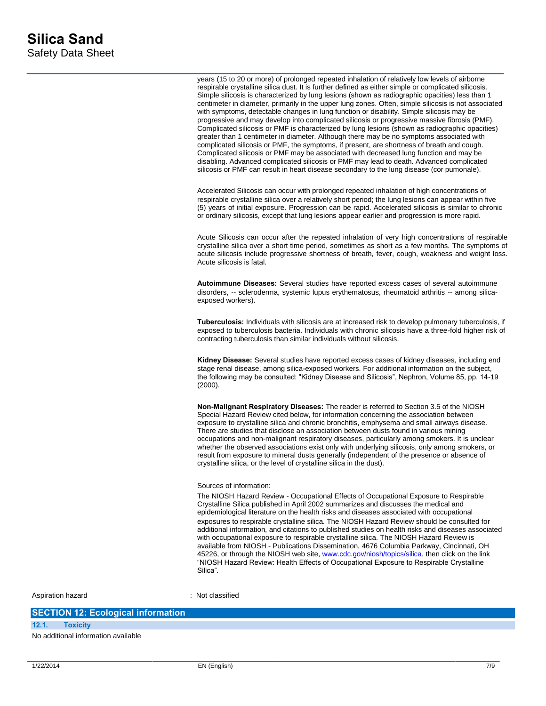years (15 to 20 or more) of prolonged repeated inhalation of relatively low levels of airborne respirable crystalline silica dust. It is further defined as either simple or complicated silicosis. Simple silicosis is characterized by lung lesions (shown as radiographic opacities) less than 1 centimeter in diameter, primarily in the upper lung zones. Often, simple silicosis is not associated with symptoms, detectable changes in lung function or disability. Simple silicosis may be progressive and may develop into complicated silicosis or progressive massive fibrosis (PMF). Complicated silicosis or PMF is characterized by lung lesions (shown as radiographic opacities) greater than 1 centimeter in diameter. Although there may be no symptoms associated with complicated silicosis or PMF, the symptoms, if present, are shortness of breath and cough. Complicated silicosis or PMF may be associated with decreased lung function and may be disabling. Advanced complicated silicosis or PMF may lead to death. Advanced complicated silicosis or PMF can result in heart disease secondary to the lung disease (cor pumonale).

Accelerated Silicosis can occur with prolonged repeated inhalation of high concentrations of respirable crystalline silica over a relatively short period; the lung lesions can appear within five (5) years of initial exposure. Progression can be rapid. Accelerated silicosis is similar to chronic or ordinary silicosis, except that lung lesions appear earlier and progression is more rapid.

Acute Silicosis can occur after the repeated inhalation of very high concentrations of respirable crystalline silica over a short time period, sometimes as short as a few months. The symptoms of acute silicosis include progressive shortness of breath, fever, cough, weakness and weight loss. Acute silicosis is fatal.

**Autoimmune Diseases:** Several studies have reported excess cases of several autoimmune disorders, -- scleroderma, systemic lupus erythematosus, rheumatoid arthritis -- among silicaexposed workers).

**Tuberculosis:** Individuals with silicosis are at increased risk to develop pulmonary tuberculosis, if exposed to tuberculosis bacteria. Individuals with chronic silicosis have a three-fold higher risk of contracting tuberculosis than similar individuals without silicosis.

**Kidney Disease:** Several studies have reported excess cases of kidney diseases, including end stage renal disease, among silica-exposed workers. For additional information on the subject, the following may be consulted: "Kidney Disease and Silicosis", Nephron, Volume 85, pp. 14-19  $(2000)$ .

**Non-Malignant Respiratory Diseases:** The reader is referred to Section 3.5 of the NIOSH Special Hazard Review cited below, for information concerning the association between exposure to crystalline silica and chronic bronchitis, emphysema and small airways disease. There are studies that disclose an association between dusts found in various mining occupations and non-malignant respiratory diseases, particularly among smokers. It is unclear whether the observed associations exist only with underlying silicosis, only among smokers, or result from exposure to mineral dusts generally (independent of the presence or absence of crystalline silica, or the level of crystalline silica in the dust).

#### Sources of information:

The NIOSH Hazard Review - Occupational Effects of Occupational Exposure to Respirable Crystalline Silica published in April 2002 summarizes and discusses the medical and epidemiological literature on the health risks and diseases associated with occupational exposures to respirable crystalline silica. The NIOSH Hazard Review should be consulted for additional information, and citations to published studies on health risks and diseases associated with occupational exposure to respirable crystalline silica. The NIOSH Hazard Review is available from NIOSH - Publications Dissemination, 4676 Columbia Parkway, Cincinnati, OH 45226, or through the NIOSH web site[, www.cdc.gov/niosh/topics/silica,](http://www.cdc.gov/niosh/topics/silica/) then click on the link "NIOSH Hazard Review: Health Effects of Occupational Exposure to Respirable Crystalline Silica".

Aspiration hazard : Not classified

# **SECTION 12: Ecological information**

**12.1. Toxicity**

No additional information available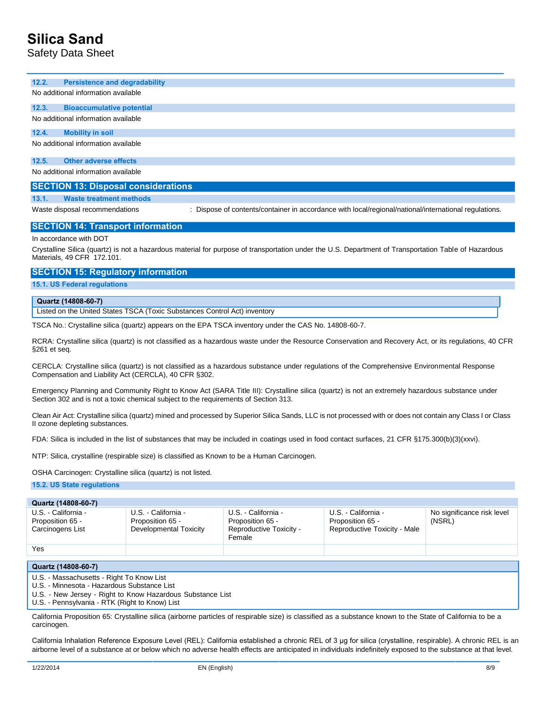# **Silica Sand**

Safety Data Sheet

**12.2. Persistence and degradability**

No additional information available

#### **12.3. Bioaccumulative potential**

No additional information available

#### **12.4. Mobility in soil**

No additional information available

# **12.5. Other adverse effects**

No additional information available

### **SECTION 13: Disposal considerations**

# **13.1. Waste treatment methods**

Waste disposal recommendations : Dispose of contents/container in accordance with local/regional/national/international regulations.

### **SECTION 14: Transport information**

#### In accordance with DOT

Crystalline Silica (quartz) is not a hazardous material for purpose of transportation under the U.S. Department of Transportation Table of Hazardous Materials, 49 CFR 172.101.

### **SECTION 15: Regulatory information**

**15.1. US Federal regulations** 

#### **Quartz (14808-60-7)**

Listed on the United States TSCA (Toxic Substances Control Act) inventory

TSCA No.: Crystalline silica (quartz) appears on the EPA TSCA inventory under the CAS No. 14808-60-7.

RCRA: Crystalline silica (quartz) is not classified as a hazardous waste under the Resource Conservation and Recovery Act, or its regulations, 40 CFR §261 et seq.

CERCLA: Crystalline silica (quartz) is not classified as a hazardous substance under regulations of the Comprehensive Environmental Response Compensation and Liability Act (CERCLA), 40 CFR §302.

Emergency Planning and Community Right to Know Act (SARA Title III): Crystalline silica (quartz) is not an extremely hazardous substance under Section 302 and is not a toxic chemical subject to the requirements of Section 313.

Clean Air Act: Crystalline silica (quartz) mined and processed by Superior Silica Sands, LLC is not processed with or does not contain any Class I or Class II ozone depleting substances.

FDA: Silica is included in the list of substances that may be included in coatings used in food contact surfaces, 21 CFR §175.300(b)(3)(xxvi).

NTP: Silica, crystalline (respirable size) is classified as Known to be a Human Carcinogen.

OSHA Carcinogen: Crystalline silica (quartz) is not listed.

**15.2. US State regulations** 

#### **Quartz (14808-60-7)** U.S. - California - Proposition 65 - Carcinogens List U.S. - California - Proposition 65 - Developmental Toxicity U.S. - California - Proposition 65 - Reproductive Toxicity - Female U.S. - California - Proposition 65 - Reproductive Toxicity - Male No significance risk level (NSRL) Yes **Quartz (14808-60-7)**  U.S. - Massachusetts - Right To Know List

U.S. - Minnesota - Hazardous Substance List

U.S. - New Jersey - Right to Know Hazardous Substance List

U.S. - Pennsylvania - RTK (Right to Know) List

California Proposition 65: Crystalline silica (airborne particles of respirable size) is classified as a substance known to the State of California to be a carcinogen.

California Inhalation Reference Exposure Level (REL): California established a chronic REL of 3 μg for silica (crystalline, respirable). A chronic REL is an airborne level of a substance at or below which no adverse health effects are anticipated in individuals indefinitely exposed to the substance at that level.